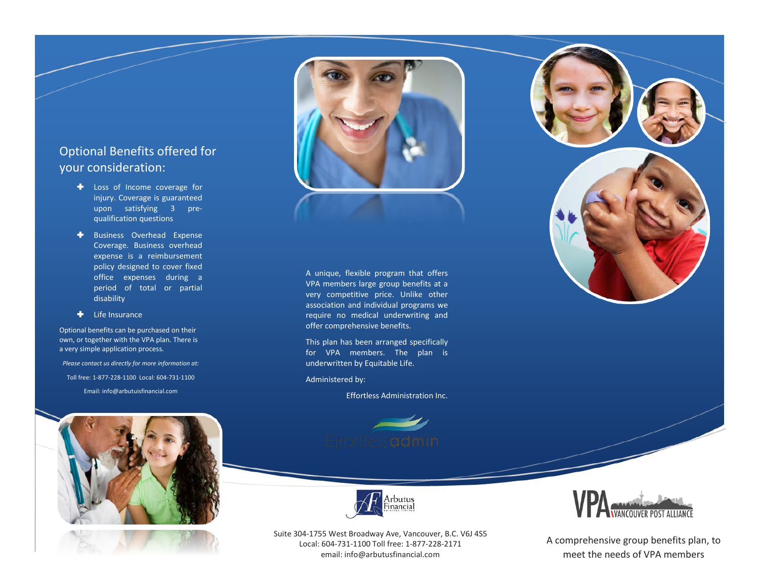## Optional Benefits offered for your consideration:

- **Loss of Income coverage for** injury. Coverage is guaranteed upon satisfying 3 prequalification questions
- + Business Overhead Expense Coverage. Business overhead expense is a reimbursement policy designed to cover fixed office expenses during a period of total or partial disability
- **+** Life Insurance

Optional benefits can be purchased on their own, or together with the VPA plan. There is a very simple application process.

*Please contact us directly for more information at:* Toll free: 1-877-228-1100 Local: 604-731-1100 Email: info@arbutuisfinancial.com



#### A unique, flexible program that offers VPA members large group benefits at a very competitive price. Unlike other association and individual programs we require no medical underwriting and offer comprehensive benefits.

This plan has been arranged specifically for VPA members. The plan is underwritten by Equitable Life.

Administered by:

Effortless Administration Inc.







A comprehensive group benefits plan, to meet the needs of VPA members





Suite 304-1755 West Broadway Ave, Vancouver, B.C. V6J 4S5 Local: 604-731-1100 Toll free: 1-877-228-2171 email: info@arbutusfinancial.com